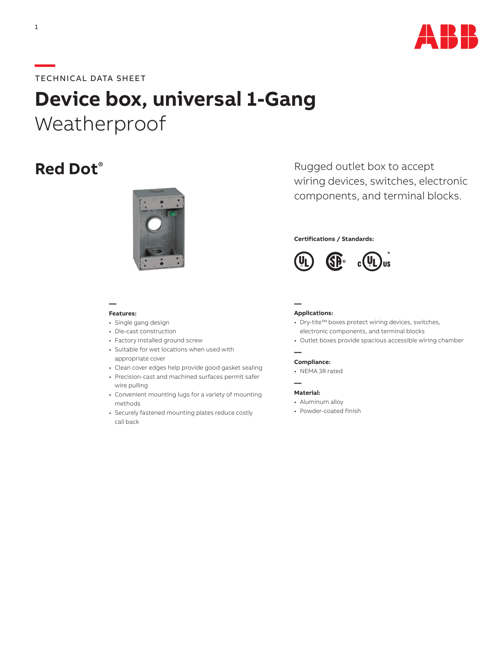

## **—**TECHNICAL DATA SHEET

# **Device box, universal 1-Gang** Weatherproof



#### **— Features:**

#### • Single gang design

- Die-cast construction
- Factory Installed ground screw
- Suitable for wet locations when used with appropriate cover
- Clean cover edges help provide good gasket sealing
- Precision-cast and machined surfaces permit safer wire pulling
- Convenient mounting lugs for a variety of mounting methods
- Securely fastened mounting plates reduce costly call back

**Red Dot**<sup>®</sup> Rugged outlet box to accept wiring devices, switches, electronic components, and terminal blocks.

#### **Certifications / Standards:**



#### **Applications:**

**—**

**—**

**—**

- Dry-tite™ boxes protect wiring devices, switches, electronic components, and terminal blocks
- Outlet boxes provide spacious accessible wiring chamber

#### **Compliance:**

• NEMA 3R rated

#### **Material:**

- Aluminum alloy
- Powder-coated finish